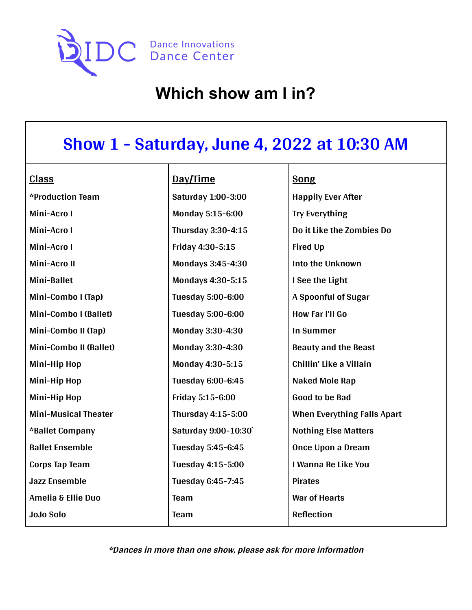

## **Show 1 - Saturday, June 4, 2022 at 10:30 AM**

| <b>Class</b>                | Day/Time                 | <b>Song</b>                        |
|-----------------------------|--------------------------|------------------------------------|
| *Production Team            | Saturday 1:00-3:00       | <b>Happily Ever After</b>          |
| Mini-Acro I                 | Monday 5:15-6:00         | <b>Try Everything</b>              |
| Mini-Acro I                 | Thursday 3:30-4:15       | Do it Like the Zombies Do          |
| Mini-Acro I                 | Friday 4:30-5:15         | <b>Fired Up</b>                    |
| Mini-Acro II                | Mondays 3:45-4:30        | Into the Unknown                   |
| Mini-Ballet                 | Mondays 4:30-5:15        | I See the Light                    |
| Mini-Combo I (Tap)          | Tuesday 5:00-6:00        | A Spoonful of Sugar                |
| Mini-Combo I (Ballet)       | <b>Tuesday 5:00-6:00</b> | How Far I'll Go                    |
| Mini-Combo II (Tap)         | Monday 3:30-4:30         | <b>In Summer</b>                   |
| Mini-Combo II (Ballet)      | Monday 3:30-4:30         | <b>Beauty and the Beast</b>        |
| Mini-Hip Hop                | Monday 4:30-5:15         | Chillin' Like a Villain            |
| Mini-Hip Hop                | Tuesday 6:00-6:45        | Naked Mole Rap                     |
| Mini-Hip Hop                | Friday 5:15-6:00         | <b>Good to be Bad</b>              |
| <b>Mini-Musical Theater</b> | Thursday 4:15-5:00       | <b>When Everything Falls Apart</b> |
| *Ballet Company             | Saturday 9:00-10:30      | <b>Nothing Else Matters</b>        |
| <b>Ballet Ensemble</b>      | Tuesday 5:45-6:45        | Once Upon a Dream                  |
| <b>Corps Tap Team</b>       | Tuesday 4:15-5:00        | I Wanna Be Like You                |
| <b>Jazz Ensemble</b>        | Tuesday 6:45-7:45        | <b>Pirates</b>                     |
| Amelia & Ellie Duo          | Team                     | <b>War of Hearts</b>               |
| <b>JoJo Solo</b>            | <b>Team</b>              | <b>Reflection</b>                  |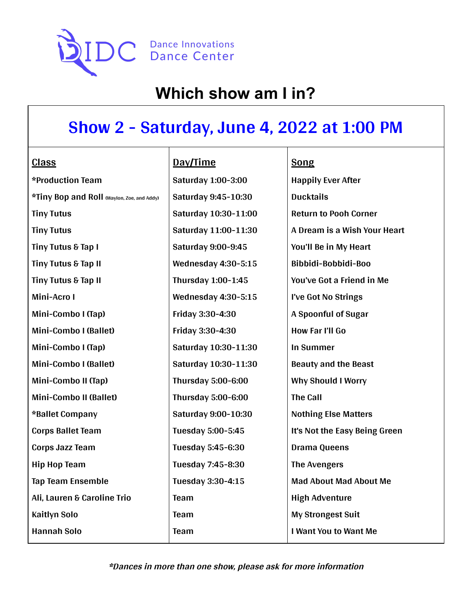

# **Show 2 - Saturday, June 4, 2022 at 1:00 PM**

| <b>Class</b>                               | Day/Time                   |
|--------------------------------------------|----------------------------|
| *Production Team                           | <b>Saturday 1:00-3:00</b>  |
| *Tiny Bop and Roll (Waylon, Zoe, and Addy) | Saturday 9:45-10:30        |
| <b>Tiny Tutus</b>                          | Saturday 10:30-11:00       |
| <b>Tiny Tutus</b>                          | Saturday 11:00-11:30       |
| Tiny Tutus & Tap I                         | <b>Saturday 9:00-9:45</b>  |
| Tiny Tutus & Tap II                        | <b>Wednesday 4:30-5:15</b> |
| Tiny Tutus & Tap II                        | Thursday 1:00-1:45         |
| Mini-Acro I                                | <b>Wednesday 4:30-5:15</b> |
| Mini-Combo I (Tap)                         | Friday 3:30-4:30           |
| Mini-Combo I (Ballet)                      | Friday 3:30-4:30           |
| Mini-Combo I (Tap)                         | Saturday 10:30-11:30       |
| Mini-Combo I (Ballet)                      | Saturday 10:30-11:30       |
| Mini-Combo II (Tap)                        | Thursday 5:00-6:00         |
| Mini-Combo II (Ballet)                     | Thursday 5:00-6:00         |
| *Ballet Company                            | Saturday 9:00-10:30        |
| <b>Corps Ballet Team</b>                   | Tuesday 5:00-5:45          |
| <b>Corps Jazz Team</b>                     | Tuesday 5:45-6:30          |
| <b>Hip Hop Team</b>                        | Tuesday 7:45-8:30          |
| <b>Tap Team Ensemble</b>                   | Tuesday 3:30-4:15          |
| Ali, Lauren & Caroline Trio                | Team                       |
| <b>Kaitlyn Solo</b>                        | Team                       |
| <b>Hannah Solo</b>                         | Team                       |
|                                            |                            |

**Song**

**Happily Ever After Ducktails Return to Pooh Corner A Dream is a Wish Your Heart You'll Be in My Heart Bibbidi-Bobbidi-Boo You've Got a Friend in Me I've Got No Strings A Spoonful of Sugar How Far I'll Go In Summer Beauty and the Beast Why Should I Worry The Call Nothing Else Matters It's Not the Easy Being Green Drama Queens The Avengers Mad About Mad About Me High Adventure My Strongest Suit I Want You to Want Me**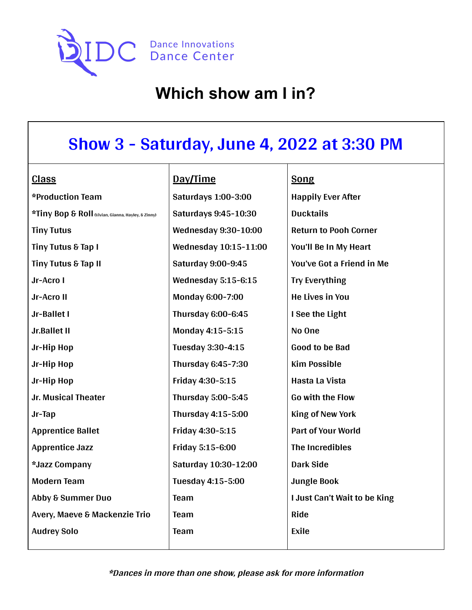

## **Show 3 - Saturday, June 4, 2022 at 3:30 PM**

#### **Class**

| *Production Team                                   | Satur        |
|----------------------------------------------------|--------------|
| *Tiny Bop & Roll (Vivian, Gianna, Hayley, & Zinny) | <b>Satur</b> |
| <b>Tiny Tutus</b>                                  | Wedn         |
| Tiny Tutus & Tap I                                 | Wedn         |
| Tiny Tutus & Tap II                                | <b>Satur</b> |
| Jr-Acro I                                          | Wedn         |
| Jr-Acro II                                         | Mond         |
| Jr-Ballet I                                        | <b>Thurs</b> |
| Jr.Ballet II                                       | Mond         |
| Jr-Hip Hop                                         | <b>Tueso</b> |
| Jr-Hip Hop                                         | <b>Thurs</b> |
| Jr-Hip Hop                                         | Friday       |
| Jr. Musical Theater                                | <b>Thurs</b> |
| Jr-Tap                                             | <b>Thurs</b> |
| <b>Apprentice Ballet</b>                           | Friday       |
| <b>Apprentice Jazz</b>                             | Friday       |
| *Jazz Company                                      | Satur        |
| <b>Modern Team</b>                                 | <b>Tueso</b> |
| <b>Abby &amp; Summer Duo</b>                       | Team         |
| Avery, Maeve & Mackenzie Trio                      | Team         |
| <b>Audrey Solo</b>                                 | <b>Team</b>  |

### **Day/Time**

**Saturdays 1:00-3:00 Saturdays 9:45-10:30 Wednesday 9:30-10:00 Wednesday 10:15-11:00 Saturday 9:00-9:45 Wednesday 5:15-6:15 Monday 6:00-7:00 Thursday 6:00-6:45 Monday 4:15-5:15 Tuesday 3:30-4:15 Thursday 6:45-7:30 Friday 4:30-5:15 Thursday 5:00-5:45 Thursday 4:15-5:00 Friday 4:30-5:15 Friday 5:15-6:00 Saturday 10:30-12:00 Tuesday 4:15-5:00**

#### **Song**

**Happily Ever After Ducktails Return to Pooh Corner You'll Be In My Heart You've Got a Friend in Me Try Everything He Lives in You I See the Light No One Good to be Bad Kim Possible Hasta La Vista Go with the Flow King of New York Part of Your World The Incredibles Dark Side Jungle Book I Just Can't Wait to be King Ride Exile**